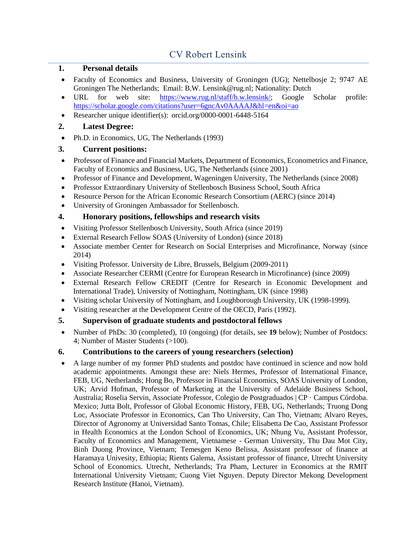# CV Robert Lensink

#### **1. Personal details**

- Faculty of Economics and Business, University of Groningen (UG); Nettelbosje 2; 9747 AE Groningen The Netherlands; Email: B.W. [Lensink@rug.nl;](mailto:Lensink@rug.nl) Nationality: Dutch
- URL for web site: [https://www.rug.nl/staff/b.w.lensink/;](https://www.rug.nl/staff/b.w.lensink/) Google Scholar profile: <https://scholar.google.com/citations?user=6gncAv0AAAAJ&hl=en&oi=ao>
- Researcher unique identifier(s): orcid.org/0000-0001-6448-5164

### **2. Latest Degree:**

• Ph.D. in Economics, UG, The Netherlands (1993)

### **3. Current positions:**

- Professor of Finance and Financial Markets, Department of Economics, Econometrics and Finance, Faculty of Economics and Business, UG, The Netherlands (since 2001)
- Professor of Finance and Development, Wageningen University, The Netherlands (since 2008)
- Professor Extraordinary University of Stellenbosch Business School, South Africa
- Resource Person for the African Economic Research Consortium (AERC) (since 2014)
- University of Groningen Ambassador for Stellenbosch.

### **4. Honorary positions, fellowships and research visits**

- Visiting Professor Stellenbosch University, South Africa (since 2019)
- External Research Fellow SOAS (University of London) (since 2018)
- Associate member Center for Research on Social Enterprises and Microfinance, Norway (since 2014)
- Visiting Professor. University de Libre, Brussels, Belgium (2009-2011)
- Associate Researcher CERMI (Centre for European Research in Microfinance) (since 2009)
- External Research Fellow CREDIT (Centre for Research in Economic Development and International Trade), University of Nottingham, Nottingham, UK (since 1998)
- Visiting scholar University of Nottingham, and Loughborough University, UK (1998-1999).
- Visiting researcher at the Development Centre of the OECD, Paris (1992).

### **5. Supervison of graduate students and postdoctoral fellows**

 Number of PhDs: 30 (completed), 10 (ongoing) (for details, see **19** below); Number of Postdocs: 4; Number of Master Students (>100).

### **6. Contributions to the careers of young researchers (selection)**

 A large number of my former PhD students and postdoc have continued in science and now hold academic appointments. Amongst these are: Niels Hermes, Professor of International Finance, FEB, UG, Netherlands; Hong Bo, Professor in Financial Economics, SOAS University of London, UK; Arvid Hofman, Professor of Marketing at the University of Adelaide Business School, Australia; Roselia Servin, Associate Professor, [Colegio de Postgraduados | CP](https://www.researchgate.net/institution/Colegio_de_Postgraduados) · Campus Córdoba. Mexico; Jutta Bolt, Professor of Global Economic History, FEB, UG, Netherlands; Truong Dong Loc, Associate Professor in Economics, Can Tho University, Can Tho, Vietnam; Alvaro Reyes, Director of Agronomy at Universidad Santo Tomas, Chile; Elisabetta De Cao, Assistant Professor in Health Economics at the London School of Economics, UK; Nhung Vu, Assistant Professor, Faculty of Economics and Management, Vietnamese - German University, Thu Dau Mot City, Binh Duong Province, Vietnam; Temesgen Keno Belissa, Assistant professor of finance at Haramaya Univesity, Ethiopia; Rients Galema, Assistant professor of finance, Utrecht University School of Economics. Utrecht, Netherlands; Tra Pham, Lecturer in Economics at the RMIT International University Vietnam; Cuong Viet Nguyen. Deputy Director Mekong Development Research Institute (Hanoi, Vietnam).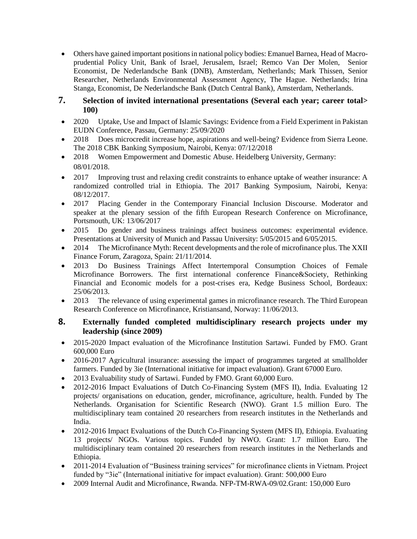Others have gained important positions in national policy bodies: Emanuel Barnea, Head of Macroprudential Policy Unit, Bank of Israel, Jerusalem, Israel; Remco Van Der Molen, Senior Economist, De Nederlandsche Bank (DNB), Amsterdam, Netherlands; Mark Thissen, Senior Researcher, Netherlands Environmental Assessment Agency, The Hague. Netherlands; Irina Stanga, Economist, De Nederlandsche Bank (Dutch Central Bank), Amsterdam, Netherlands.

#### **7. Selection of invited international presentations (Several each year; career total> 100)**

- 2020 Uptake, Use and Impact of Islamic Savings: Evidence from a Field Experiment in Pakistan EUDN Conference, Passau, Germany: 25/09/2020
- 2018 Does microcredit increase hope, aspirations and well-being? Evidence from Sierra Leone. The 2018 CBK Banking Symposium, Nairobi, Kenya: 07/12/2018
- 2018 Women Empowerment and Domestic Abuse. Heidelberg University, Germany: 08/01/2018.
- 2017 Improving trust and relaxing credit constraints to enhance uptake of weather insurance: A randomized controlled trial in Ethiopia. The 2017 Banking Symposium, Nairobi, Kenya: 08/12/2017.
- 2017 Placing Gender in the Contemporary Financial Inclusion Discourse. Moderator and speaker at the plenary session of the fifth European Research Conference on Microfinance, Portsmouth, UK: 13/06/2017
- 2015 Do gender and business trainings affect business outcomes: experimental evidence. Presentations at University of Munich and Passau University: 5/05/2015 and 6/05/2015.
- 2014 The Microfinance Myth: Recent developments and the role of microfinance plus. The XXII Finance Forum, Zaragoza, Spain: 21/11/2014.
- 2013 Do Business Trainings Affect Intertemporal Consumption Choices of Female Microfinance Borrowers. The first international conference Finance&Society, Rethinking Financial and Economic models for a post-crises era, Kedge Business School, Bordeaux: 25/06/2013.
- 2013 The relevance of using experimental games in microfinance research. The Third European Research Conference on Microfinance, Kristiansand, Norway: 11/06/2013.

### **8. Externally funded completed multidisciplinary research projects under my leadership (since 2009)**

- 2015-2020 Impact evaluation of the Microfinance Institution Sartawi. Funded by FMO. Grant 600,000 Euro
- 2016-2017 Agricultural insurance: assessing the impact of programmes targeted at smallholder farmers. Funded by 3ie (International initiative for impact evaluation). Grant 67000 Euro.
- 2013 Evaluability study of Sartawi. Funded by FMO. Grant 60,000 Euro.
- 2012-2016 Impact Evaluations of Dutch Co-Financing System (MFS II), India. Evaluating 12 projects/ organisations on education, gender, microfinance, agriculture, health. Funded by The Netherlands. Organisation for Scientific Research (NWO). Grant 1.5 million Euro. The multidisciplinary team contained 20 researchers from research institutes in the Netherlands and India.
- 2012-2016 Impact Evaluations of the Dutch Co-Financing System (MFS II), Ethiopia. Evaluating 13 projects/ NGOs. Various topics. Funded by NWO. Grant: 1.7 million Euro. The multidisciplinary team contained 20 researchers from research institutes in the Netherlands and Ethiopia.
- 2011-2014 Evaluation of "Business training services" for microfinance clients in Vietnam. Project funded by "3ie" (International initiative for impact evaluation). Grant: 500,000 Euro
- 2009 Internal Audit and Microfinance, Rwanda. NFP-TM-RWA-09/02.Grant: 150,000 Euro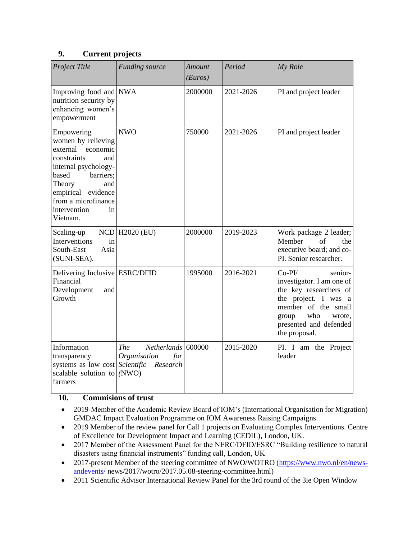#### **9. Current projects**

| Project Title                                                                                                                                                                                                                | <b>Funding source</b>                                                                      | Amount<br>(Euros) | Period    | My Role                                                                                                                                                                                        |
|------------------------------------------------------------------------------------------------------------------------------------------------------------------------------------------------------------------------------|--------------------------------------------------------------------------------------------|-------------------|-----------|------------------------------------------------------------------------------------------------------------------------------------------------------------------------------------------------|
| Improving food and NWA<br>nutrition security by<br>enhancing women's<br>empowerment                                                                                                                                          |                                                                                            | 2000000           | 2021-2026 | PI and project leader                                                                                                                                                                          |
| Empowering<br>women by relieving<br>external<br>economic<br>constraints<br>and<br>internal psychology-<br>barriers;<br>based<br>Theory<br>and<br>empirical evidence<br>from a microfinance<br>intervention<br>in<br>Vietnam. | <b>NWO</b>                                                                                 | 750000            | 2021-2026 | PI and project leader                                                                                                                                                                          |
| Scaling-up<br>Interventions<br>in<br>South-East<br>Asia<br>(SUNI-SEA).                                                                                                                                                       | <b>NCD H2020 (EU)</b>                                                                      | 2000000           | 2019-2023 | Work package 2 leader;<br>Member<br>of<br>the<br>executive board; and co-<br>PI. Senior researcher.                                                                                            |
| Delivering Inclusive ESRC/DFID<br>Financial<br>Development<br>and<br>Growth                                                                                                                                                  |                                                                                            | 1995000           | 2016-2021 | $Co-PI/$<br>senior-<br>investigator. I am one of<br>the key researchers of<br>the project. I was a<br>member of the small<br>who<br>group<br>wrote.<br>presented and defended<br>the proposal. |
| Information<br>transparency<br>systems as low cost<br>scalable solution to<br>farmers                                                                                                                                        | Netherlands 600000<br><b>The</b><br>Organisation<br>for<br>Scientific<br>Research<br>(NWO) |                   | 2015-2020 | PI. I am the Project<br>leader                                                                                                                                                                 |

### **10. Commisions of trust**

- 2019-Member of the Academic Review Board of IOM's (International Organisation for Migration) GMDAC Impact Evaluation Programme on IOM Awareness Raising Campaigns
- 2019 Member of the review panel for Call 1 projects on Evaluating Complex Interventions. Centre of Excellence for Development Impact and Learning (CEDIL), London, UK.
- 2017 Member of the Assessment Panel for the NERC/DFID/ESRC "Building resilience to natural disasters using financial instruments" funding call, London, UK
- 2017-present Member of the steering committee of NWO/WOTRO [\(https://www.nwo.nl/en/news](https://www.nwo.nl/en/news-andevents/)[andevents/](https://www.nwo.nl/en/news-andevents/) news/2017/wotro/2017.05.08-steering-committee.html)
- 2011 Scientific Advisor International Review Panel for the 3rd round of the 3ie Open Window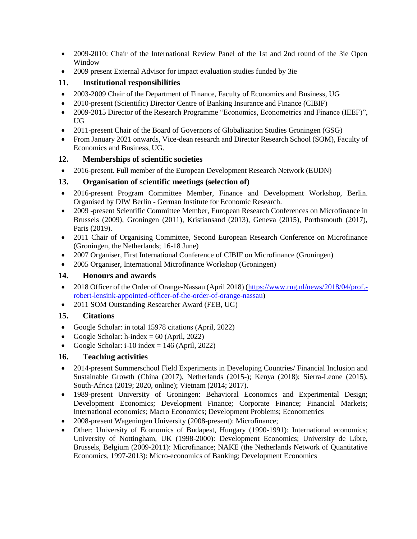- 2009-2010: Chair of the International Review Panel of the 1st and 2nd round of the 3ie Open Window
- 2009 present External Advisor for impact evaluation studies funded by 3ie

### **11. Institutional responsibilities**

- 2003-2009 Chair of the Department of Finance, Faculty of Economics and Business, UG
- 2010-present (Scientific) Director Centre of Banking Insurance and Finance (CIBIF)
- 2009-2015 Director of the Research Programme "Economics, Econometrics and Finance (IEEF)", UG
- 2011-present Chair of the Board of Governors of Globalization Studies Groningen (GSG)
- From January 2021 onwards, Vice-dean research and Director Research School (SOM), Faculty of Economics and Business, UG.

### **12. Memberships of scientific societies**

• 2016-present. Full member of the European Development Research Network (EUDN)

### **13. Organisation of scientific meetings (selection of)**

- 2016-present Program Committee Member, Finance and Development Workshop, Berlin. Organised by DIW Berlin - German Institute for Economic Research.
- 2009 -present Scientific Committee Member, European Research Conferences on Microfinance in Brussels (2009), Groningen (2011), Kristiansand (2013), Geneva (2015), Porthsmouth (2017), Paris (2019).
- 2011 Chair of Organising Committee, Second European Research Conference on Microfinance (Groningen, the Netherlands; 16-18 June)
- 2007 Organiser, First International Conference of CIBIF on Microfinance (Groningen)
- 2005 Organiser, International Microfinance Workshop (Groningen)

### **14. Honours and awards**

- 2018 Officer of the Order of Orange-Nassau (April 2018) [\(https://www.rug.nl/news/2018/04/prof.](https://www.rug.nl/news/2018/04/prof.-robert-lensink-appointed-officer-of-the-order-of-orange-nassau) [robert-lensink-appointed-officer-of-the-order-of-orange-nassau\)](https://www.rug.nl/news/2018/04/prof.-robert-lensink-appointed-officer-of-the-order-of-orange-nassau)
- 2011 SOM Outstanding Researcher Award (FEB, UG)

### **15. Citations**

- Google Scholar: in total 15978 citations (April, 2022)
- Google Scholar: h-index =  $60$  (April, 2022)
- Google Scholar: i-10 index =  $146$  (April, 2022)

### **16. Teaching activities**

- 2014-present Summerschool Field Experiments in Developing Countries/ Financial Inclusion and Sustainable Growth (China (2017), Netherlands (2015-); Kenya (2018); Sierra-Leone (2015), South-Africa (2019; 2020, online); Vietnam (2014; 2017).
- 1989-present University of Groningen: Behavioral Economics and Experimental Design; Development Economics; Development Finance; Corporate Finance; Financial Markets; International economics; Macro Economics; Development Problems; Econometrics
- 2008-present Wageningen University (2008-present): Microfinance;
- Other: University of Economics of Budapest, Hungary (1990-1991): International economics; University of Nottingham, UK (1998-2000): Development Economics; University de Libre, Brussels, Belgium (2009-2011): Microfinance; NAKE (the Netherlands Network of Quantitative Economics, 1997-2013): Micro-economics of Banking; Development Economics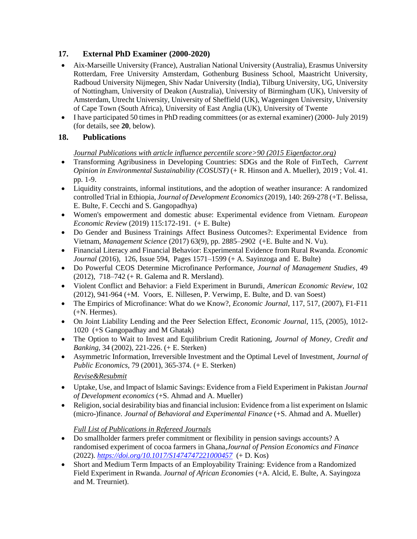## **17. External PhD Examiner (2000-2020)**

- Aix-Marseille University (France), Australian National University (Australia), Erasmus University Rotterdam, Free University Amsterdam, Gothenburg Business School, Maastricht University, Radboud University Nijmegen, Shiv Nadar University (India), Tilburg University, UG, University of Nottingham, University of Deakon (Australia), University of Birmingham (UK), University of Amsterdam, Utrecht University, University of Sheffield (UK), Wageningen University, University of Cape Town (South Africa), University of East Anglia (UK), University of Twente
- I have participated 50 times in PhD reading committees (or as external examiner) (2000-July 2019) (for details, see **20**, below).

## **18. Publications**

#### *Journal Publications with article influence percentile score>90 (2015 Eigenfactor.org)*

- Transforming Agribusiness in Developing Countries: SDGs and the Role of FinTech, *Current Opinion in Environmental Sustainability (COSUST)* (+ R. Hinson and A. Mueller), 2019 ; Vol. 41. pp. 1-9.
- Liquidity constraints, informal institutions, and the adoption of weather insurance: A randomized controlled Trial in Ethiopia, *Journal of Development Economics* (2019), 140: 269-278 (+T. Belissa, E. Bulte, F. Cecchi and S. Gangopadhya)
- Women's empowerment and domestic abuse: Experimental evidence from Vietnam. *European Economic Review* (2019) 115:172-191. (+ E. Bulte)
- Do Gender and Business Trainings Affect Business Outcomes?: Experimental Evidence from Vietnam, *Management Science* (2017) 63(9), pp. 2885–2902 (+E. Bulte and N. Vu).
- Financial Literacy and Financial Behavior: Experimental Evidence from Rural Rwanda. *Economic Journal* (2016), 126, Issue 594, Pages 1571–1599 (+ A. Sayinzoga and E. Bulte)
- Do Powerful CEOS Determine Microfinance Performance, *Journal of Management Studies*, 49 (2012), 718–742 (+ R. Galema and R. Mersland).
- Violent Conflict and Behavior: a Field Experiment in Burundi, *American Economic Review*, 102 (2012), 941-964 (+M. Voors, E. Nillesen, P. Verwimp, E. Bulte, and D. van Soest)
- The Empirics of Microfinance: What do we Know?, *Economic Journal*, 117, 517, (2007), F1-F11 (+N. Hermes).
- On Joint Liability Lending and the Peer Selection Effect, *Economic Journal*, 115, (2005), 1012- 1020 (+S Gangopadhay and M Ghatak)
- The Option to Wait to Invest and Equilibrium Credit Rationing, *Journal of Money, Credit and Banking*, 34 (2002), 221-226. (+ E. Sterken)
- Asymmetric Information, Irreversible Investment and the Optimal Level of Investment, *Journal of Public Economics*, 79 (2001), 365-374. (+ E. Sterken)

### *Revise&Resubmit*

- Uptake, Use, and Impact of Islamic Savings: Evidence from a Field Experiment in Pakistan *Journal of Development economics* (+S. Ahmad and A. Mueller)
- Religion, social desirability bias and financial inclusion: Evidence from a list experiment on Islamic (micro-)finance. *Journal of Behavioral and Experimental Finance* (+S. Ahmad and A. Mueller)

### *Full List of Publications in Refereed Journals*

- Do smallholder farmers prefer commitment or flexibility in pension savings accounts? A randomised experiment of cocoa farmers in Ghana,*Journal of Pension Economics and Finance* (2022)*.<https://doi.org/10.1017/S1474747221000457>* (+ D. Kos)
- Short and Medium Term Impacts of an Employability Training: Evidence from a Randomized Field Experiment in Rwanda. *Journal of African Economies* (+A. Alcid, E. Bulte, A. Sayingoza and M. Treurniet).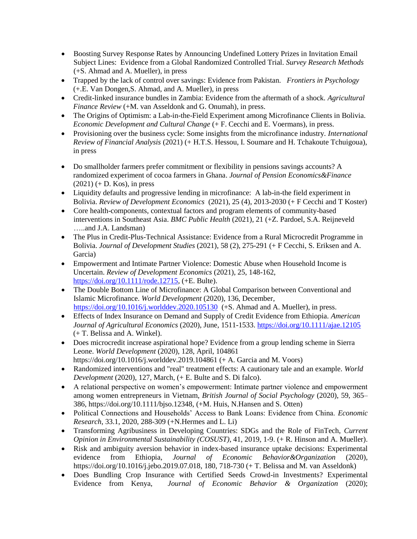- Boosting Survey Response Rates by Announcing Undefined Lottery Prizes in Invitation Email Subject Lines: Evidence from a Global Randomized Controlled Trial. *Survey Research Methods* (+S. Ahmad and A. Mueller), in press
- Trapped by the lack of control over savings: Evidence from Pakistan*. Frontiers in Psychology*  (+.E. Van Dongen,S. Ahmad, and A. Mueller), in press
- Credit-linked insurance bundles in Zambia: Evidence from the aftermath of a shock. *Agricultural Finance Review* (+M. van Asseldonk and G. Onumah), in press.
- The Origins of Optimism: a Lab-in-the-Field Experiment among Microfinance Clients in Bolivia. *Economic Development and Cultural Change* (+ F. Cecchi and E. Voermans), in press.
- Provisioning over the business cycle: Some insights from the microfinance industry. *International Review of Financial Analysis* (2021) (+ H.T.S. Hessou, I. Soumare and H. Tchakoute Tchuigoua), in press
- Do smallholder farmers prefer commitment or flexibility in pensions savings accounts? A randomized experiment of cocoa farmers in Ghana. *Journal of Pension Economics&Finance*  $(2021)$  (+ D. Kos), in press
- Liquidity defaults and progressive lending in microfinance: A lab-in-the field experiment in Bolivia. *Review of Development Economics* (2021), 25 (4), 2013-2030 (+ F Cecchi and T Koster)
- Core health-components, contextual factors and program elements of community-based interventions in Southeast Asia. *BMC Public Health* (2021), 21 (+Z. Pardoel, S.A. Reijneveld …..and J.A. Landsman)
- The Plus in Credit-Plus-Technical Assistance: Evidence from a Rural Microcredit Programme in Bolivia. *Journal of Development Studies* (2021), 58 (2), 275-291 (+ F Cecchi, S. Eriksen and A. Garcia)
- Empowerment and Intimate Partner Violence: Domestic Abuse when Household Income is Uncertain. *Review of Development Economics* (2021), 25, 148-162, [https://doi.org/10.1111/rode.12715,](https://doi.org/10.1111/rode.12715) (+E. Bulte).
- The Double Bottom Line of Microfinance: A Global Comparison between Conventional and Islamic Microfinance. *World Development* (2020), 136, December, <https://doi.org/10.1016/j.worlddev.2020.105130> (+S. Ahmad and A. Mueller), in press.
- Effects of Index Insurance on Demand and Supply of Credit Evidence from Ethiopia. *American Journal of Agricultural Economics* (2020), June, 1511-1533.<https://doi.org/10.1111/ajae.12105> (+ T. Belissa and A. Winkel).
- Does microcredit increase aspirational hope? Evidence from a group lending scheme in Sierra Leone. *World Development* (2020), 128, April, 104861 https://doi.org/10.1016/j.worlddev.2019.104861 (+ A. Garcia and M. Voors)
- Randomized interventions and "real" treatment effects: A cautionary tale and an example. *World Development* (2020), 127, March, (+ E. Bulte and S. Di falco).
- A relational perspective on women's empowerment: Intimate partner violence and empowerment among women entrepreneurs in Vietnam, *British Journal of Social Psychology* (2020), 59, 365– 386, https://doi.org/10.1111/bjso.12348, (+M. Huis, N.Hansen and S. Otten)
- Political Connections and Households' Access to Bank Loans: Evidence from China. *Economic Research*, 33.1, 2020, 288-309 (+N.Hermes and L. Li)
- Transforming Agribusiness in Developing Countries: SDGs and the Role of FinTech, *Current Opinion in Environmental Sustainability (COSUST)*, 41, 2019, 1-9. (+ R. Hinson and A. Mueller).
- Risk and ambiguity aversion behavior in index-based insurance uptake decisions: Experimental evidence from Ethiopia, *Journal of Economic Behavior&Organization* (2020), [https://doi.org/10.1016/j.jebo.2019.07.018,](https://doi.org/10.1016/j.jebo.2019.07.018) 180, 718-730 (+ T. Belissa and M. van Asseldonk)
- Does Bundling Crop Insurance with Certified Seeds Crowd-in Investments? Experimental Evidence from Kenya, *Journal of Economic Behavior & Organization* (2020);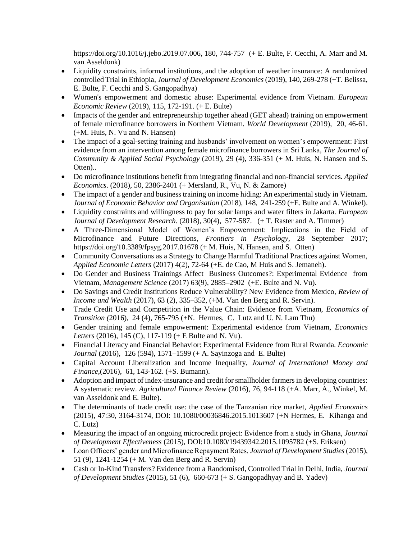[https://doi.org/10.1016/j.jebo.2019.07.006,](https://doi.org/10.1016/j.jebo.2019.07.006) 180, 744-757 (+ E. Bulte, F. Cecchi, A. Marr and M. van Asseldonk)

- Liquidity constraints, informal institutions, and the adoption of weather insurance: A randomized controlled Trial in Ethiopia, *Journal of Development Economics* (2019), 140, 269-278 (+T. Belissa, E. Bulte, F. Cecchi and S. Gangopadhya)
- Women's empowerment and domestic abuse: Experimental evidence from Vietnam. *European Economic Review* (2019), 115, 172-191. (+ E. Bulte)
- Impacts of the gender and entrepreneurship together ahead (GET ahead) training on empowerment of female microfinance borrowers in Northern Vietnam. *World Development* (2019), 20, 46-61. (+M. Huis, N. Vu and N. Hansen)
- The impact of a goal-setting training and husbands' involvement on women's empowerment: First evidence from an intervention among female microfinance borrowers in Sri Lanka, *The Journal of Community & Applied Social Psychology* (2019), 29 (4), 336-351 (+ M. Huis, N. Hansen and S. Otten)..
- Do microfinance institutions benefit from integrating financial and non-financial services. *Applied Economics*. (2018), 50, 2386-2401 (+ Mersland, R., Vu, N. & Zamore)
- The impact of a gender and business training on income hiding: An experimental study in Vietnam. *Journal of Economic Behavior and Organisation* (2018), 148, 241-259 (+E. Bulte and A. Winkel).
- Liquidity constraints and willingness to pay for solar lamps and water filters in Jakarta. *European Journal of Development Research*. (2018), 30(4), 577-587. (+ T. Raster and A. Timmer)
- A Three-Dimensional Model of Women's Empowerment: Implications in the Field of Microfinance and Future Directions, *Frontiers in Psychology*, 28 September 2017; <https://doi.org/10.3389/fpsyg.2017.01678> (+ M. Huis, N. Hansen, and S. Otten)
- Community Conversations as a Strategy to Change Harmful Traditional Practices against Women, *Applied Economic Letters* (2017) 4(2), 72-64 (+E. de Cao, M Huis and S. Jemaneh).
- Do Gender and Business Trainings Affect Business Outcomes?: Experimental Evidence from Vietnam, *Management Science* (2017) 63(9), 2885–2902 (+E. Bulte and N. Vu).
- Do Savings and Credit Institutions Reduce Vulnerability? New Evidence from Mexico, *Review of Income and Wealth* (2017), 63 (2), 335–352, (+M. Van den Berg and R. Servin).
- Trade Credit Use and Competition in the Value Chain: Evidence from Vietnam, *Economics of Transition (*2016), 24 (4), 765-795 (+N. Hermes, C. Lutz and U. N. Lam Thu)
- Gender training and female empowerment: Experimental evidence from Vietnam, *Economics Letters* (2016), 145 (C), 117-119 (+ E Bulte and N. Vu).
- Financial Literacy and Financial Behavior: Experimental Evidence from Rural Rwanda*. Economic Journal* (2016), 126 (594), 1571–1599 (+ A. Sayinzoga and E. Bulte)
- Capital Account Liberalization and Income Inequality, *Journal of International Money and Finance*,(2016), 61, 143-162. (+S. Bumann).
- Adoption and impact of index-insurance and credit for smallholder farmers in developing countries: A systematic review. *Agricultural Finance Review* (2016), 76, 94-118 (+A. Marr, A., Winkel, M. van Asseldonk and E. Bulte).
- The determinants of trade credit use: the case of the Tanzanian rice market, *Applied Economics* (2015), 47:30, 3164-3174, DOI: 10.1080/00036846.2015.1013607 (+N Hermes, E. Kihanga and C. Lutz)
- Measuring the impact of an ongoing microcredit project: Evidence from a study in Ghana, *Journal of Development Effectiveness* (2015), DOI:10.1080/19439342.2015.1095782 (+S. Eriksen)
- Loan Officers' gender and Microfinance Repayment Rates, *Journal of Development Studies* (2015), 51 (9), 1241-1254 (+ M. Van den Berg and R. Servin)
- Cash or In-Kind Transfers? Evidence from a Randomised, Controlled Trial in Delhi, India, *Journal of Development Studies* (2015), 51 (6), 660-673 (+ S. Gangopadhyay and B. Yadev)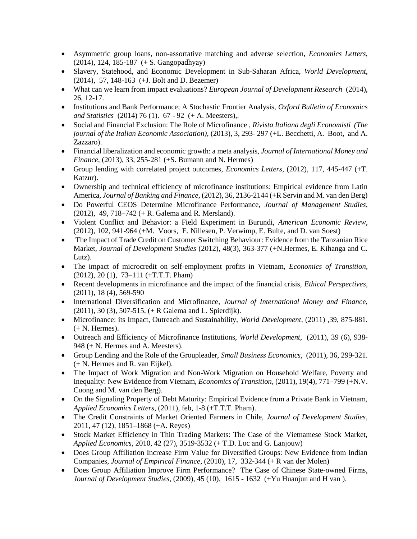- Asymmetric group loans, non-assortative matching and adverse selection, *Economics Letters*, (2014), 124, 185-187 (+ S. Gangopadhyay)
- Slavery, Statehood, and Economic Development in Sub-Saharan Africa, *World Development*, (2014), 57, 148-163 (+J. Bolt and D. Bezemer)
- What can we learn from impact evaluations? *European Journal of Development Research* (2014), 26, 12-17.
- Institutions and Bank Performance; A Stochastic Frontier Analysis, *Oxford Bulletin of Economics and Statistics* (2014) 76 (1). 67 - 92 (+ A. Meesters),.
- Social and Financial Exclusion: The Role of Microfinance , *Rivista Italiana degli Economisti (The journal of the Italian Economic Association)*, (2013), 3, 293- 297 (+L. Becchetti, A. Boot, and A. Zazzaro).
- Financial liberalization and economic growth: a meta analysis, *Journal of International Money and Finance*, (2013), 33, 255-281 (+S. Bumann and N. Hermes)
- Group lending with correlated project outcomes, *Economics Letters*, (2012), 117, 445-447 (+T. Katzur).
- Ownership and technical efficiency of microfinance institutions: Empirical evidence from Latin America, *Journal of Banking and Finance*, (2012), 36, 2136-2144 (+R Servin and M. van den Berg)
- Do Powerful CEOS Determine Microfinance Performance, *Journal of Management Studies*, (2012), 49, 718–742 (+ R. Galema and R. Mersland).
- Violent Conflict and Behavior: a Field Experiment in Burundi, *American Economic Review*, (2012), 102, 941-964 (+M. Voors, E. Nillesen, P. Verwimp, E. Bulte, and D. van Soest)
- The Impact of Trade Credit on Customer Switching Behaviour: Evidence from the Tanzanian Rice Market, *Journal of Development Studies* (2012), 48(3), 363-377 (+N.Hermes, E. Kihanga and C. Lutz).
- The impact of microcredit on self-employment profits in Vietnam, *Economics of Transition*, (2012), 20 (1), 73–111 (+T.T.T. Pham)
- Recent developments in microfinance and the impact of the financial crisis, *Ethical Perspectives*, (2011), 18 (4), 569-590
- International Diversification and Microfinance, *Journal of International Money and Finance*, (2011), 30 (3), 507-515, (+ R Galema and L. Spierdijk).
- Microfinance: its Impact, Outreach and Sustainability, *World Development*, (2011) ,39, 875-881. (+ N. Hermes).
- Outreach and Efficiency of Microfinance Institutions, *World Development*, (2011), 39 (6), 938- 948 (+ N. Hermes and A. Meesters).
- Group Lending and the Role of the Groupleader, *Small Business Economics*, (2011), 36, 299-321. (+ N. Hermes and R. van Eijkel).
- The Impact of Work Migration and Non-Work Migration on Household Welfare, Poverty and Inequality: New Evidence from Vietnam, *Economics of Transition*, (2011), 19(4), 771–799 (+N.V. Cuong and M. van den Berg).
- On the Signaling Property of Debt Maturity: Empirical Evidence from a Private Bank in Vietnam, *Applied Economics Letters*, (2011), feb, 1-8 (+T.T.T. Pham).
- The Credit Constraints of Market Oriented Farmers in Chile, *Journal of Development Studies*, 2011, 47 (12), 1851–1868 (+A. Reyes)
- Stock Market Efficiency in Thin Trading Markets: The Case of the Vietnamese Stock Market, *Applied Economics*, 2010, 42 (27), 3519-3532 (+ T.D. Loc and G. Lanjouw)
- Does Group Affiliation Increase Firm Value for Diversified Groups: New Evidence from Indian Companies, *Journal of Empirical Finance*, (2010), 17, 332-344 (+ R van der Molen)
- Does Group Affiliation Improve Firm Performance? The Case of Chinese State-owned Firms, *Journal of Development Studies*, (2009), 45 (10), 1615 - 1632 (+Yu Huanjun and H van ).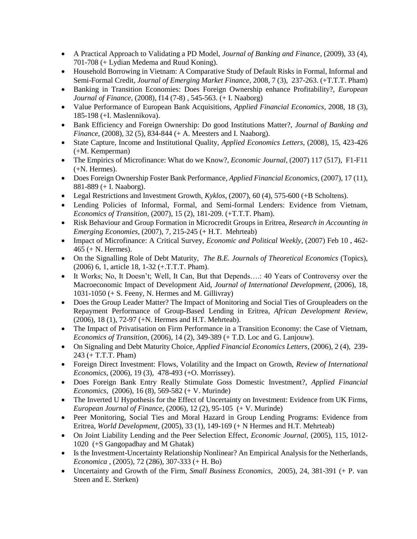- A Practical Approach to Validating a PD Model, *Journal of Banking and Finance*, (2009), 33 (4), 701-708 (+ Lydian Medema and Ruud Koning).
- Household Borrowing in Vietnam: A Comparative Study of Default Risks in Formal, Informal and Semi-Formal Credit, *Journal of Emerging Market Finance*, 2008, 7 (3), 237-263. (+T.T.T. Pham)
- Banking in Transition Economies: Does Foreign Ownership enhance Profitability?, *European Journal of Finance*, (2008), f14 (7-8) , 545-563. (+ I. Naaborg)
- Value Performance of European Bank Acquisitions, *Applied Financial Economics*, 2008, 18 (3), 185-198 (+I. Maslennikova).
- Bank Efficiency and Foreign Ownership: Do good Institutions Matter?, *Journal of Banking and Finance*, (2008), 32 (5), 834-844 (+ A. Meesters and I. Naaborg).
- State Capture, Income and Institutional Quality, *Applied Economics Letters*, (2008), 15, 423-426 (+M. Kemperman)
- The Empirics of Microfinance: What do we Know?, *Economic Journal*, (2007) 117 (517), F1-F11 (+N. Hermes).
- Does Foreign Ownership Foster Bank Performance, *Applied Financial Economics*, (2007), 17 (11), 881-889 (+ I. Naaborg).
- Legal Restrictions and Investment Growth, *Kyklos*, (2007), 60 (4), 575-600 (+B Scholtens).
- Lending Policies of Informal, Formal, and Semi-formal Lenders: Evidence from Vietnam, *Economics of Transition*, (2007), 15 (2), 181-209. (+T.T.T. Pham).
- Risk Behaviour and Group Formation in Microcredit Groups in Eritrea, *Research in Accounting in Emerging Economies*, (2007), 7, 215-245 (+ H.T. Mehrteab)
- Impact of Microfinance: A Critical Survey, *Economic and Political Weekly*, (2007) Feb 10 , 462- 465 (+ N. Hermes).
- On the Signalling Role of Debt Maturity, *The B.E. Journals of Theoretical Economics* (Topics), (2006) 6, 1, article 18, 1-32 (+.T.T.T. Pham).
- It Works; No, It Doesn't; Well, It Can, But that Depends….: 40 Years of Controversy over the Macroeconomic Impact of Development Aid, *Journal of International Development*, (2006), 18,  $1031-1050$  (+ S. Feeny, N. Hermes and M. Gillivray)
- Does the Group Leader Matter? The Impact of Monitoring and Social Ties of Groupleaders on the Repayment Performance of Group-Based Lending in Eritrea, *African Development Review*, (2006), 18 (1), 72-97 (+N. Hermes and H.T. Mehrteab).
- The Impact of Privatisation on Firm Performance in a Transition Economy: the Case of Vietnam, *Economics of Transition*, (2006), 14 (2), 349-389 (+ T.D. Loc and G. Lanjouw).
- On Signaling and Debt Maturity Choice, *Applied Financial Economics Letters*, (2006), 2 (4), 239- 243 (+ T.T.T. Pham)
- Foreign Direct Investment: Flows, Volatility and the Impact on Growth, *Review of International Economics*, (2006), 19 (3), 478-493 (+O. Morrissey).
- Does Foreign Bank Entry Really Stimulate Goss Domestic Investment?, *Applied Financial Economics*, (2006), 16 (8), 569-582 (+ V. Murinde)
- The Inverted U Hypothesis for the Effect of Uncertainty on Investment: Evidence from UK Firms, *European Journal of Finance*, (2006), 12 (2), 95-105 (+ V. Murinde)
- Peer Monitoring, Social Ties and Moral Hazard in Group Lending Programs: Evidence from Eritrea, *World Development*, (2005), 33 (1), 149-169 (+ N Hermes and H.T. Mehrteab)
- On Joint Liability Lending and the Peer Selection Effect, *Economic Journal*, (2005), 115, 1012- 1020 (+S Gangopadhay and M Ghatak)
- Is the Investment-Uncertainty Relationship Nonlinear? An Empirical Analysis for the Netherlands, *Economica* , (2005), 72 (286), 307-333 (+ H. Bo)
- Uncertainty and Growth of the Firm, *Small Business Economics*, 2005), 24, 381-391 (+ P. van Steen and E. Sterken)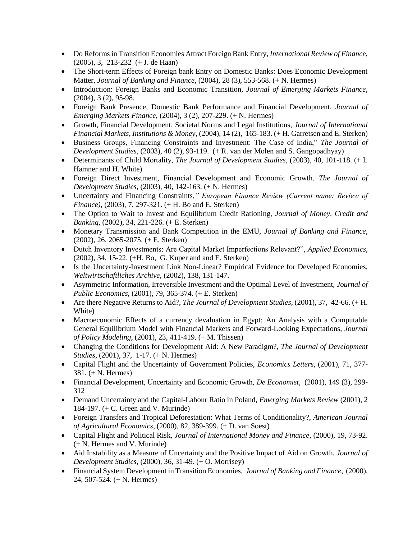- Do Reforms in Transition Economies Attract Foreign Bank Entry, *International Review of Finance*, (2005), 3, 213-232 (+ J. de Haan)
- The Short-term Effects of Foreign bank Entry on Domestic Banks: Does Economic Development Matter, *Journal of Banking and Finance*, (2004), 28 (3), 553-568. (+ N. Hermes)
- Introduction: Foreign Banks and Economic Transition, *Journal of Emerging Markets Finance*, (2004), 3 (2), 95-98.
- Foreign Bank Presence, Domestic Bank Performance and Financial Development, *Journal of Emerging Markets Finance*, (2004), 3 (2), 207-229. (+ N. Hermes)
- Growth, Financial Development, Societal Norms and Legal Institutions, *Journal of International Financial Markets, Institutions & Money*, (2004), 14 (2), 165-183. (+ H. Garretsen and E. Sterken)
- Business Groups, Financing Constraints and Investment: The Case of India," *The Journal of Development Studies*, (2003), 40 (2), 93-119. (+ R. van der Molen and S. Gangopadhyay)
- Determinants of Child Mortality, *The Journal of Development Studies*, (2003), 40, 101-118. (+ L Hamner and H. White)
- Foreign Direct Investment, Financial Development and Economic Growth. *The Journal of Development Studies*, (2003), 40, 142-163. (+ N. Hermes)
- Uncertainty and Financing Constraints*," European Finance Review (Current name: Review of Finance)*, (2003), 7, 297-321. (+ H. Bo and E. Sterken)
- The Option to Wait to Invest and Equilibrium Credit Rationing, *Journal of Money, Credit and Banking*, (2002), 34, 221-226. (+ E. Sterken)
- Monetary Transmission and Bank Competition in the EMU, *Journal of Banking and Finance*, (2002), 26, 2065-2075. (+ E. Sterken)
- Dutch Inventory Investments: Are Capital Market Imperfections Relevant?", *Applied Economics*, (2002), 34, 15-22. (+H. Bo, G. Kuper and and E. Sterken)
- Is the Uncertainty-Investment Link Non-Linear? Empirical Evidence for Developed Economies, *Weltwirtschaftliches Archive*, (2002), 138, 131-147.
- Asymmetric Information, Irreversible Investment and the Optimal Level of Investment, *Journal of Public Economics*, (2001), 79, 365-374. (+ E. Sterken)
- Are there Negative Returns to Aid?, *The Journal of Development Studies*, (2001), 37, 42-66. (+ H. White)
- Macroeconomic Effects of a currency devaluation in Egypt: An Analysis with a Computable General Equilibrium Model with Financial Markets and Forward-Looking Expectations, *Journal of Policy Modeling*, (2001), 23, 411-419. (+ M. Thissen)
- Changing the Conditions for Development Aid: A New Paradigm?, *The Journal of Development Studies*, (2001), 37, 1-17. (+ N. Hermes)
- Capital Flight and the Uncertainty of Government Policies, *Economics Letters*, (2001), 71, 377- 381. (+ N. Hermes)
- Financial Development, Uncertainty and Economic Growth, *De Economist*, (2001), 149 (3), 299- 312
- Demand Uncertainty and the Capital-Labour Ratio in Poland, *Emerging Markets Review* (2001), 2 184-197. (+ C. Green and V. Murinde)
- Foreign Transfers and Tropical Deforestation: What Terms of Conditionality?, *American Journal of Agricultural Economics*, (2000), 82, 389-399. (+ D. van Soest)
- Capital Flight and Political Risk, *Journal of International Money and Finance*, (2000), 19, 73-92. (+ N. Hermes and V. Murinde)
- Aid Instability as a Measure of Uncertainty and the Positive Impact of Aid on Growth, *Journal of Development Studies*, (2000), 36, 31-49. (+ O. Morrisey)
- Financial System Development in Transition Economies, *Journal of Banking and Finance*, (2000), 24, 507-524. (+ N. Hermes)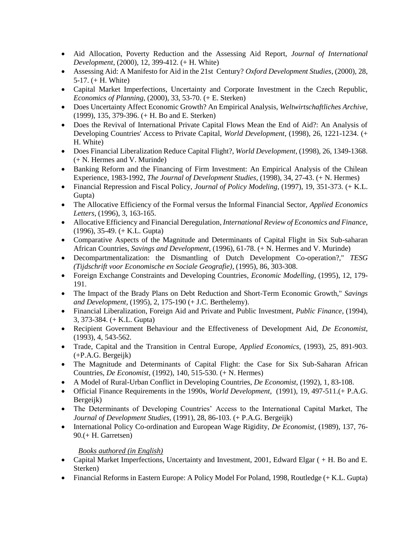- Aid Allocation, Poverty Reduction and the Assessing Aid Report, *Journal of International Development*, (2000), 12, 399-412. (+ H. White)
- Assessing Aid: A Manifesto for Aid in the 21st Century? *Oxford Development Studies*, (2000), 28, 5-17. (+ H. White)
- Capital Market Imperfections, Uncertainty and Corporate Investment in the Czech Republic, *Economics of Planning*, (2000), 33, 53-70. (+ E. Sterken)
- Does Uncertainty Affect Economic Growth? An Empirical Analysis, *Weltwirtschaftliches Archive*, (1999), 135, 379-396. (+ H. Bo and E. Sterken)
- Does the Revival of International Private Capital Flows Mean the End of Aid?: An Analysis of Developing Countries' Access to Private Capital, *World Development*, (1998), 26, 1221-1234. (+ H. White)
- Does Financial Liberalization Reduce Capital Flight?, *World Development*, (1998), 26, 1349-1368. (+ N. Hermes and V. Murinde)
- Banking Reform and the Financing of Firm Investment: An Empirical Analysis of the Chilean Experience, 1983-1992, *The Journal of Development Studies*, (1998), 34, 27-43. (+ N. Hermes)
- Financial Repression and Fiscal Policy, *Journal of Policy Modeling*, (1997), 19, 351-373. (+ K.L. Gupta)
- The Allocative Efficiency of the Formal versus the Informal Financial Sector, *Applied Economics Letters*, (1996), 3, 163-165.
- Allocative Efficiency and Financial Deregulation*, International Review of Economics and Finance*, (1996), 35-49. (+ K.L. Gupta)
- Comparative Aspects of the Magnitude and Determinants of Capital Flight in Six Sub-saharan African Countries, *Savings and Development*, (1996), 61-78. (+ N. Hermes and V. Murinde)
- Decompartmentalization: the Dismantling of Dutch Development Co-operation?," *TESG (Tijdschrift voor Economische en Sociale Geografie)*, (1995), 86, 303-308.
- Foreign Exchange Constraints and Developing Countries, *Economic Modelling*, (1995), 12, 179- 191.
- The Impact of the Brady Plans on Debt Reduction and Short-Term Economic Growth," *Savings and Development*, (1995), 2, 175-190 (+ J.C. Berthelemy).
- Financial Liberalization, Foreign Aid and Private and Public Investment*, Public Finance*, (1994), 3, 373-384. (+ K.L. Gupta)
- Recipient Government Behaviour and the Effectiveness of Development Aid, *De Economist*, (1993), 4, 543-562.
- Trade, Capital and the Transition in Central Europe, *Applied Economics*, (1993), 25, 891-903. (+P.A.G. Bergeijk)
- The Magnitude and Determinants of Capital Flight: the Case for Six Sub-Saharan African Countries, *De Economist*, (1992), 140, 515-530. (+ N. Hermes)
- A Model of Rural-Urban Conflict in Developing Countries, *De Economist*, (1992), 1, 83-108.
- Official Finance Requirements in the 1990s, *World Development*, (1991), 19, 497-511.(+ P.A.G. Bergeijk)
- The Determinants of Developing Countries' Access to the International Capital Market, The *Journal of Development Studies*, (1991), 28, 86-103. (+ P.A.G. Bergeijk)
- International Policy Co-ordination and European Wage Rigidity, *De Economist*, (1989), 137, 76- 90.(+ H. Garretsen)

### *Books authored (in English)*

- Capital Market Imperfections, Uncertainty and Investment, 2001, Edward Elgar ( + H. Bo and E. Sterken)
- Financial Reforms in Eastern Europe: A Policy Model For Poland, 1998, Routledge (+ K.L. Gupta)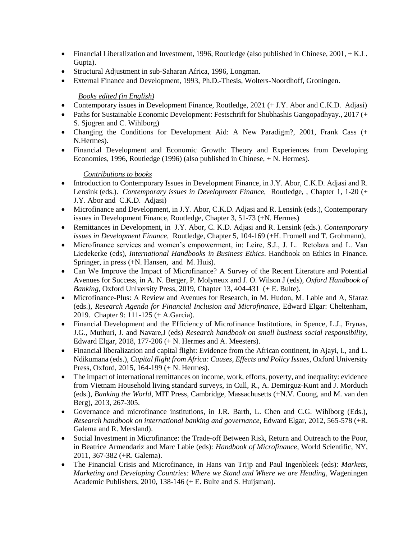- Financial Liberalization and Investment, 1996, Routledge (also published in Chinese,  $2001, + K.L$ . Gupta).
- Structural Adjustment in sub-Saharan Africa, 1996, Longman.
- External Finance and Development, 1993, Ph.D.-Thesis, Wolters-Noordhoff, Groningen.

#### *Books edited (in English)*

- Contemporary issues in Development Finance, Routledge, 2021 (+ J.Y. Abor and C.K.D. Adjasi)
- Paths for Sustainable Economic Development: Festschrift for Shubhashis Gangopadhyay., 2017 (+ S. Sjogren and C. Wihlborg)
- Changing the Conditions for Development Aid: A New Paradigm?, 2001, Frank Cass (+ N.Hermes).
- Financial Development and Economic Growth: Theory and Experiences from Developing Economies, 1996, Routledge (1996) (also published in Chinese, + N. Hermes).

#### *Contributions to books*

- Introduction to Contemporary Issues in Development Finance, in J.Y. Abor, C.K.D. Adjasi and R. Lensink (eds.). *Contemporary issues in Development Finance,* Routledge, , Chapter 1, 1-20 (+ J.Y. Abor and C.K.D. Adjasi)
- Microfinance and Development, in J.Y. Abor, C.K.D. Adjasi and R. Lensink (eds.), Contemporary issues in Development Finance, Routledge, Chapter 3, 51-73 (+N. Hermes)
- Remittances in Development, in J.Y. Abor, C. K.D. Adjasi and R. Lensink (eds.). *Contemporary issues in Development Finance,* Routledge, Chapter 5, 104-169 (+H. Fromell and T. Grohmann),
- Microfinance services and women's empowerment, in: Leire, S.J., J. L. Retolaza and L. Van Liedekerke (eds), *International Handbooks in Business Ethics*. Handbook on Ethics in Finance. Springer, in press (+N. Hansen, and M. Huis).
- Can We Improve the Impact of Microfinance? A Survey of the Recent Literature and Potential Avenues for Success, in A. N. Berger, P. Molyneux and J. O. Wilson J (eds), *Oxford Handbook of Banking*, Oxford University Press, 2019, Chapter 13, 404-431 (+ E. Bulte).
- Microfinance-Plus: A Review and Avenues for Research, in M. Hudon, M. Labie and A, Sfaraz (eds.), *Research Agenda for Financial Inclusion and Microfinance*, Edward Elgar: Cheltenham, 2019. Chapter 9: 111-125 (+ A.Garcia).
- Financial Development and the Efficiency of Microfinance Institutions, in Spence, L.J., Frynas, J.G., Muthuri, J. and Navare,J (eds) *Research handbook on small business social responsibility*, Edward Elgar, 2018, 177-206 (+ N. Hermes and A. Meesters).
- Financial liberalization and capital flight: Evidence from the African continent, in Ajayi, I., and L. Ndikumana (eds.), *Capital flight from Africa: Causes, Effects and Policy Issues*, Oxford University Press, Oxford, 2015, 164-199 (+ N. Hermes).
- The impact of international remittances on income, work, efforts, poverty, and inequality: evidence from Vietnam Household living standard surveys, in Cull, R., A. Demirguz-Kunt and J. Morduch (eds.), *Banking the World*, MIT Press, Cambridge, Massachusetts (+N.V. Cuong, and M. van den Berg), 2013, 267-305.
- Governance and microfinance institutions, in J.R. Barth, L. Chen and C.G. Wihlborg (Eds.), *Research handbook on international banking and governance*, Edward Elgar, 2012, 565-578 (+R. Galema and R. Mersland).
- Social Investment in Microfinance: the Trade-off Between Risk, Return and Outreach to the Poor, in Beatrice Armendariz and Marc Labie (eds): *Handbook of Microfinance*, World Scientific, NY, 2011, 367-382 (+R. Galema).
- The Financial Crisis and Microfinance, in Hans van Trijp and Paul Ingenbleek (eds): *Markets, Marketing and Developing Countries: Where we Stand and Where we are Heading*, Wageningen Academic Publishers, 2010, 138-146 (+ E. Bulte and S. Huijsman).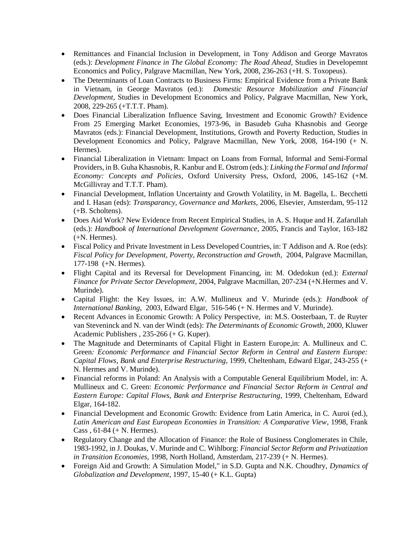- Remittances and Financial Inclusion in Development, in Tony Addison and George Mavratos (eds.): *Development Finance in The Global Economy: The Road Ahead*, Studies in Developemnt Economics and Policy, Palgrave Macmillan, New York, 2008, 236-263 (+H. S. Toxopeus).
- The Determinants of Loan Contracts to Business Firms: Empirical Evidence from a Private Bank in Vietnam, in George Mavratos (ed.): *Domestic Resource Mobilization and Financial Development*, Studies in Development Economics and Policy, Palgrave Macmillan, New York, 2008, 229-265 (+T.T.T. Pham).
- Does Financial Liberalization Influence Saving, Investment and Economic Growth? Evidence From 25 Emerging Market Economies, 1973-96, in Basudeb Guha Khasnobis and George Mavratos (eds.): Financial Development, Institutions, Growth and Poverty Reduction, Studies in Development Economics and Policy, Palgrave Macmillan, New York, 2008, 164-190 (+ N. Hermes).
- Financial Liberalization in Vietnam: Impact on Loans from Formal, Informal and Semi-Formal Providers, in B. Guha Khasnobis, R. Kanbur and E. Ostrom (eds.): *Linking the Formal and Informal Economy: Concepts and Policies*, Oxford University Press, Oxford, 2006, 145-162 (+M. McGillivray and T.T.T. Pham).
- Financial Development, Inflation Uncertainty and Growth Volatility, in M. Bagella, L. Becchetti and I. Hasan (eds): *Transparancy, Governance and Markets*, 2006, Elsevier, Amsterdam, 95-112 (+B. Scholtens).
- Does Aid Work? New Evidence from Recent Empirical Studies, in A. S. Huque and H. Zafarullah (eds.): *Handbook of International Development Governance*, 2005, Francis and Taylor, 163-182 (+N. Hermes).
- Fiscal Policy and Private Investment in Less Developed Countries, in: T Addison and A. Roe (eds): *Fiscal Policy for Development, Poverty, Reconstruction and Growth*, 2004, Palgrave Macmillan, 177-198 (+N. Hermes).
- Flight Capital and its Reversal for Development Financing, in: M. Odedokun (ed.): *External Finance for Private Sector Development*, 2004, Palgrave Macmillan, 207-234 (+N.Hermes and V. Murinde).
- Capital Flight: the Key Issues, in: A.W. Mullineux and V. Murinde (eds.): *Handbook of International Banking*, 2003, Edward Elgar, 516-546 (+ N. Hermes and V. Murinde).
- Recent Advances in Economic Growth: A Policy Perspective, in: M.S. Oosterbaan, T. de Ruyter van Steveninck and N. van der Windt (eds): *The Determinants of Economic Growth*, 2000, Kluwer Academic Publishers , 235-266 (+ G. Kuper).
- The Magnitude and Determinants of Capital Flight in Eastern Europe,in: A. Mullineux and C. Green*: Economic Performance and Financial Sector Reform in Central and Eastern Europe: Capital Flows, Bank and Enterprise Restructuring*, 1999, Cheltenham, Edward Elgar, 243-255 (+ N. Hermes and V. Murinde).
- Financial reforms in Poland: An Analysis with a Computable General Equilibrium Model, in: A. Mullineux and C. Green: *Economic Performance and Financial Sector Reform in Central and Eastern Europe: Capital Flows, Bank and Enterprise Restructuring*, 1999, Cheltenham, Edward Elgar, 164-182.
- Financial Development and Economic Growth: Evidence from Latin America, in C. Auroi (ed.), *Latin American and East European Economies in Transition: A Comparative View*, 1998, Frank Cass , 61-84 (+ N. Hermes).
- Regulatory Change and the Allocation of Finance: the Role of Business Conglomerates in Chile, 1983-1992, in J. Doukas, V. Murinde and C. Wihlborg: *Financial Sector Reform and Privatization in Transition Economies*, 1998, North Holland, Amsterdam, 217-239 (+ N. Hermes).
- Foreign Aid and Growth: A Simulation Model," in S.D. Gupta and N.K. Choudhry, *Dynamics of Globalization and Development*, 1997, 15-40 (+ K.L. Gupta)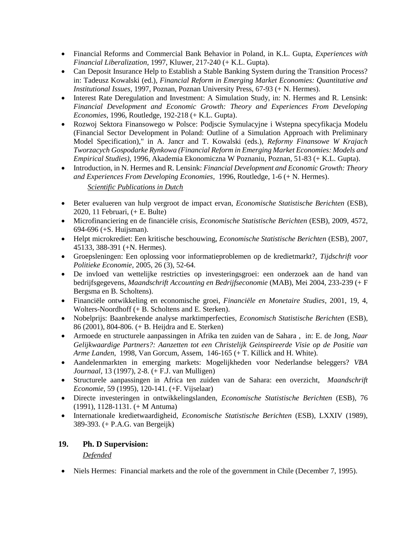- Financial Reforms and Commercial Bank Behavior in Poland, in K.L. Gupta, *Experiences with Financial Liberalization*, 1997, Kluwer, 217-240 (+ K.L. Gupta).
- Can Deposit Insurance Help to Establish a Stable Banking System during the Transition Process? in: Tadeusz Kowalski (ed.), *Financial Reform in Emerging Market Economies: Quantitative and Institutional Issues*, 1997, Poznan, Poznan University Press, 67-93 (+ N. Hermes).
- Interest Rate Deregulation and Investment: A Simulation Study, in: N. Hermes and R. Lensink: *Financial Development and Economic Growth: Theory and Experiences From Developing Economies*, 1996, Routledge, 192-218 (+ K.L. Gupta).
- Rozwoj Sektora Finansowego w Polsce: Podjscie Symulacyjne i Wstepna specyfikacja Modelu (Financial Sector Development in Poland: Outline of a Simulation Approach with Preliminary Model Specification)," in A. Jancr and T. Kowalski (eds.), *Reformy Finansowe W Krajach Tworzacych Gospodarke Rynkowa (Financial Reform in Emerging Market Economies: Models and Empirical Studies)*, 1996, Akademia Ekonomiczna W Poznaniu, Poznan, 51-83 (+ K.L. Gupta).
- Introduction, in N. Hermes and R. Lensink: *Financial Development and Economic Growth: Theory and Experiences From Developing Economies*, 1996, Routledge, 1-6 (+ N. Hermes).

#### *Scientific Publications in Dutch*

- Beter evalueren van hulp vergroot de impact ervan, *Economische Statistische Berichten* (ESB), 2020, 11 Februari, (+ E. Bulte)
- Microfinanciering en de financiële crisis, *Economische Statistische Berichten* (ESB), 2009, 4572, 694-696 (+S. Huijsman).
- Helpt microkrediet: Een kritische beschouwing, *Economische Statistische Berichten* (ESB), 2007, 45133, 388-391 (+N. Hermes).
- Groepsleningen: Een oplossing voor informatieproblemen op de kredietmarkt?, *Tijdschrift voor Politieke Economie*, 2005, 26 (3), 52-64.
- De invloed van wettelijke restricties op investeringsgroei: een onderzoek aan de hand van bedrijfsgegevens, *Maandschrift Accounting en Bedrijfseconomie* (MAB), Mei 2004, 233-239 (+ F Bergsma en B. Scholtens).
- Financiële ontwikkeling en economische groei, *Financiële en Monetaire Studies*, 2001, 19, 4, Wolters-Noordhoff (+ B. Scholtens and E. Sterken).
- Nobelprijs: Baanbrekende analyse marktimperfecties, *Economisch Statistische Berichten* (ESB), 86 (2001), 804-806. (+ B. Heijdra and E. Sterken)
- Armoede en structurele aanpassingen in Afrika ten zuiden van de Sahara , in: E. de Jong, *Naar Gelijkwaardige Partners?: Aanzetten tot een Christelijk Geinspireerde Visie op de Positie van Arme Landen*, 1998, Van Gorcum, Assem, 146-165 (+ T. Killick and H. White).
- Aandelenmarkten in emerging markets: Mogelijkheden voor Nederlandse beleggers? *VBA Journaal*, 13 (1997), 2-8. (+ F.J. van Mulligen)
- Structurele aanpassingen in Africa ten zuiden van de Sahara: een overzicht, *Maandschrift Economie*, 59 (1995), 120-141. (+F. Vijselaar)
- Directe investeringen in ontwikkelingslanden, *Economische Statistische Berichten* (ESB), 76 (1991), 1128-1131. (+ M Antuma)
- Internationale kredietwaardigheid, *Economische Statistische Berichten* (ESB), LXXIV (1989), 389-393. (+ P.A.G. van Bergeijk)

### **19. Ph. D Supervision:**

#### *Defended*

Niels Hermes: Financial markets and the role of the government in Chile (December 7, 1995).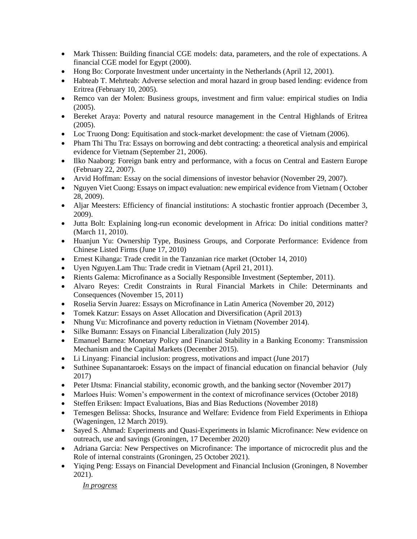- Mark Thissen: Building financial CGE models: data, parameters, and the role of expectations. A financial CGE model for Egypt (2000).
- Hong Bo: Corporate Investment under uncertainty in the Netherlands (April 12, 2001).
- Habteab T. Mehrteab: Adverse selection and moral hazard in group based lending: evidence from Eritrea (February 10, 2005).
- Remco van der Molen: Business groups, investment and firm value: empirical studies on India (2005).
- Bereket Araya: Poverty and natural resource management in the Central Highlands of Eritrea (2005).
- Loc Truong Dong: Equitisation and stock-market development: the case of Vietnam (2006).
- Pham Thi Thu Tra: Essays on borrowing and debt contracting: a theoretical analysis and empirical evidence for Vietnam (September 21, 2006).
- Ilko Naaborg: Foreign bank entry and performance, with a focus on Central and Eastern Europe (February 22, 2007).
- Arvid Hoffman: Essay on the social dimensions of investor behavior (November 29, 2007).
- Nguyen Viet Cuong: Essays on impact evaluation: new empirical evidence from Vietnam (October 28, 2009).
- Aljar Meesters: Efficiency of financial institutions: A stochastic frontier approach (December 3, 2009).
- Jutta Bolt: Explaining long-run economic development in Africa: Do initial conditions matter? (March 11, 2010).
- Huanjun Yu: Ownership Type, Business Groups, and Corporate Performance: Evidence from Chinese Listed Firms (June 17, 2010)
- Ernest Kihanga: Trade credit in the Tanzanian rice market (October 14, 2010)
- Uyen Nguyen.Lam Thu: Trade credit in Vietnam (April 21, 2011).
- Rients Galema: Microfinance as a Socially Responsible Investment (September, 2011).
- Alvaro Reyes: Credit Constraints in Rural Financial Markets in Chile: Determinants and Consequences (November 15, 2011)
- Roselia Servin Juarez: Essays on Microfinance in Latin America (November 20, 2012)
- Tomek Katzur: Essays on Asset Allocation and Diversification (April 2013)
- Nhung Vu: Microfinance and poverty reduction in Vietnam (November 2014).
- Silke Bumann: Essays on Financial Liberalization (July 2015)
- Emanuel Barnea: Monetary Policy and Financial Stability in a Banking Economy: Transmission Mechanism and the Capital Markets (December 2015).
- Li Linyang: Financial inclusion: progress, motivations and impact (June 2017)
- Suthinee Supanantaroek: Essays on the impact of financial education on financial behavior (July 2017)
- Peter IJtsma: Financial stability, economic growth, and the banking sector (November 2017)
- Marloes Huis: Women's empowerment in the context of microfinance services (October 2018)
- Steffen Eriksen: Impact Evaluations, Bias and Bias Reductions (November 2018)
- Temesgen Belissa: Shocks, Insurance and Welfare: Evidence from Field Experiments in Ethiopa (Wageningen, 12 March 2019).
- Sayed S. Ahmad: Experiments and Quasi-Experiments in Islamic Microfinance: New evidence on outreach, use and savings (Groningen, 17 December 2020)
- Adriana Garcia: New Perspectives on Microfinance: The importance of microcredit plus and the Role of internal constraints (Groningen, 25 October 2021).
- Yiqing Peng: Essays on Financial Development and Financial Inclusion (Groningen, 8 November 2021).

*In progress*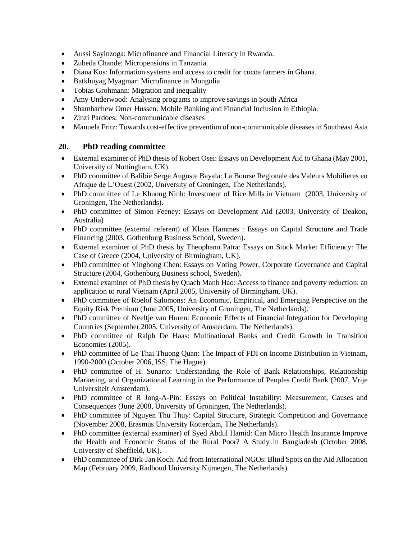- Aussi Sayinzoga: Microfinance and Financial Literacy in Rwanda.
- Zubeda Chande: Micropensions in Tanzania.
- Diana Kos: Information systems and access to credit for cocoa farmers in Ghana.
- Batkhuyag Myagmar: Microfinance in Mongolia
- Tobias Grohmann: Migration and inequality
- Amy Underwood: Analysing programs to improve savings in South Africa
- Shambachew Omer Hussen: Mobile Banking and Financial Inclusion in Ethiopia.
- Zinzi Pardoes: Non-communicable diseases
- Manuela Fritz: Towards cost-effective prevention of non-communicable diseases in Southeast Asia

#### **20. PhD reading committee**

- External examiner of PhD thesis of Robert Osei: Essays on Development Aid to Ghana (May 2001, University of Nottingham, UK).
- PhD committee of Balibie Serge Auguste Bayala: La Bourse Regionale des Valeurs Mobilieres en Afrique de L'Ouest (2002, University of Groningen, The Netherlands).
- PhD committee of Le Khuong Ninh: Investment of Rice Mills in Vietnam (2003, University of Groningen, The Netherlands).
- PhD committee of Simon Feeney: Essays on Development Aid (2003, University of Deakon, Australia)
- PhD committee (external referent) of Klaus Hammes : Essays on Capital Structure and Trade Financing (2003, Gothenburg Business School, Sweden).
- External examiner of PhD thesis by Theophano Patra: Essays on Stock Market Efficiency: The Case of Greece (2004, University of Birmingham, UK).
- PhD committee of Yinghong Chen: Essays on Voting Power, Corporate Governance and Capital Structure (2004, Gothenburg Business school, Sweden).
- External examiner of PhD thesis by Quach Manh Hao: Access to finance and poverty reduction: an application to rural Vietnam (April 2005, University of Birmingham, UK).
- PhD committee of Roelof Salomons: An Economic, Empirical, and Emerging Perspective on the Equity Risk Premium (June 2005, University of Groningen, The Netherlands).
- PhD committee of Neeltje van Horen: Economic Effects of Financial Integration for Developing Countries (September 2005, University of Amsterdam, The Netherlands).
- PhD committee of Ralph De Haas: Multinational Banks and Credit Growth in Transition Economies (2005).
- PhD committee of Le Thai Thuong Quan: The Impact of FDI on Income Distribution in Vietnam, 1990-2000 (October 2006, ISS, The Hague).
- PhD committee of H. Sunarto: Understanding the Role of Bank Relationships, Relationship Marketing, and Organizational Learning in the Performance of Peoples Credit Bank (2007, Vrije Universiteit Amsterdam).
- PhD committee of R Jong-A-Pin: Essays on Political Instability: Measurement, Causes and Consequences (June 2008, University of Groningen, The Netherlands).
- PhD committee of Nguyen Thu Thuy: Capital Structure, Strategic Competition and Governance (November 2008, Erasmus University Rotterdam, The Netherlands).
- PhD committee (external examiner) of Syed Abdul Hamid: Can Micro Health Insurance Improve the Health and Economic Status of the Rural Poor? A Study in Bangladesh (October 2008, University of Sheffield, UK).
- PhD committee of Dirk-Jan Koch: Aid from International NGOs: Blind Spots on the Aid Allocation Map (February 2009, Radboud University Nijmegen, The Netherlands).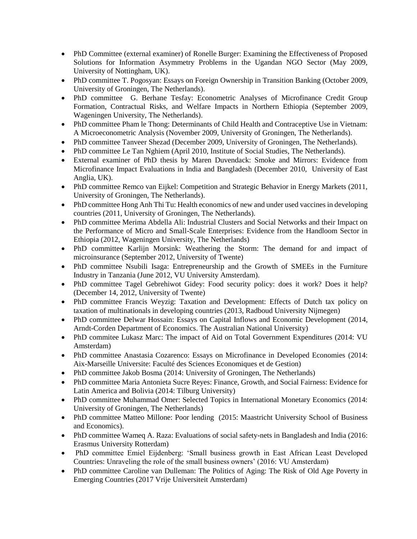- PhD Committee (external examiner) of Ronelle Burger: Examining the Effectiveness of Proposed Solutions for Information Asymmetry Problems in the Ugandan NGO Sector (May 2009, University of Nottingham, UK).
- PhD committee T. Pogosyan: Essays on Foreign Ownership in Transition Banking (October 2009, University of Groningen, The Netherlands).
- PhD committee G. Berhane Tesfay: Econometric Analyses of Microfinance Credit Group Formation, Contractual Risks, and Welfare Impacts in Northern Ethiopia (September 2009, Wageningen University, The Netherlands).
- PhD committee Pham le Thong: Determinants of Child Health and Contraceptive Use in Vietnam: A Microeconometric Analysis (November 2009, University of Groningen, The Netherlands).
- PhD committee Tanveer Shezad (December 2009, University of Groningen, The Netherlands).
- PhD committee Le Tan Nghiem (April 2010, Institute of Social Studies, The Netherlands).
- External examiner of PhD thesis by Maren Duvendack: Smoke and Mirrors: Evidence from Microfinance Impact Evaluations in India and Bangladesh (December 2010, University of East Anglia, UK).
- PhD committee Remco van Eijkel: Competition and Strategic Behavior in Energy Markets (2011, University of Groningen, The Netherlands).
- PhD committee Hong Anh Thi Tu: Health economics of new and under used vaccines in developing countries (2011, University of Groningen, The Netherlands).
- PhD committee Merima Abdella Ali: Industrial Clusters and Social Networks and their Impact on the Performance of Micro and Small-Scale Enterprises: Evidence from the Handloom Sector in Ethiopia (2012, Wageningen University, The Netherlands)
- PhD committee Karlijn Morsink: Weathering the Storm: The demand for and impact of microinsurance (September 2012, University of Twente)
- PhD committee Nsubili Isaga: Entrepreneurship and the Growth of SMEEs in the Furniture Industry in Tanzania (June 2012, VU University Amsterdam).
- PhD committee Tagel Gebrehiwot Gidey: Food security policy: does it work? Does it help? (December 14, 2012, University of Twente)
- PhD committee Francis Weyzig: Taxation and Development: Effects of Dutch tax policy on taxation of multinationals in developing countries (2013, Radboud University Nijmegen)
- PhD committee Delwar Hossain: Essays on Capital Inflows and Economic Development (2014, Arndt-Corden Department of Economics. The Australian National University)
- PhD commitee Lukasz Marc: The impact of Aid on Total Government Expenditures (2014: VU Amsterdam)
- PhD committee Anastasia Cozarenco: Essays on Microfinance in Developed Economies (2014: Aix-Marseille Universite: Faculté des Sciences Economiques et de Gestion)
- PhD committee Jakob Bosma (2014: University of Groningen, The Netherlands)
- PhD committee Maria Antonieta Sucre Reyes: Finance, Growth, and Social Fairness: Evidence for Latin America and Bolivia (2014: Tilburg University)
- PhD committee Muhammad Omer: Selected Topics in International Monetary Economics (2014: University of Groningen, The Netherlands)
- PhD committee Matteo Millone: Poor lending (2015: Maastricht University School of Business and Economics).
- PhD committee Wameq A. Raza: Evaluations of social safety-nets in Bangladesh and India (2016: Erasmus University Rotterdam)
- PhD committee Emiel Eijdenberg: 'Small business growth in East African Least Developed Countries: Unraveling the role of the small business owners' (2016: VU Amsterdam)
- PhD committee Caroline van Dulleman: The Politics of Aging: The Risk of Old Age Poverty in Emerging Countries (2017 Vrije Universiteit Amsterdam)